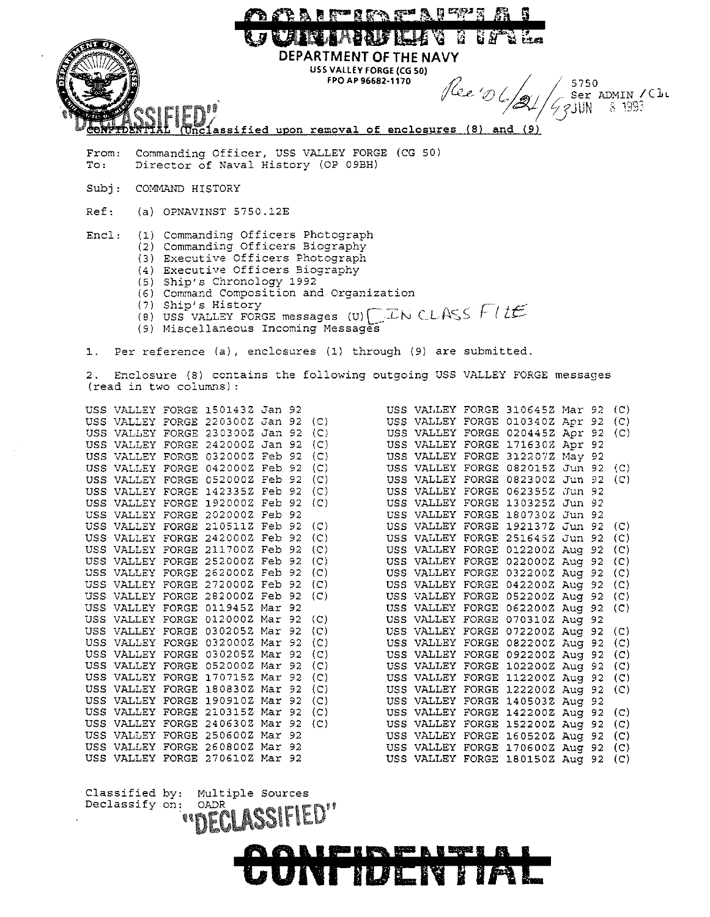

**CONFIDENTIAL** 

USS VALLEY FORGE 142200Z Aug 92 (C) USS VALLEY FORGE 152200Z Aug 92 (C) USS VALLEY FORGE 160520Z Aug 92 (C) USS VALLEY FORGE 170600Z Aug 92 (C) USS VALLEY FORGE 1801SOZ Aug 92 (C)

USS VALLEY FORGE 190910Z Mar 92 (C) USS VALLEY FORGE 21031SZ Mar 92 (C) USS VALLEY FORGE 240630Z Mar 92 (C) USS VALLEY FORGE 250600Z Mar 92 USS VALLEY FORGE 260800Z Mar 92 USS VALLEY FORGE 2706102 Mar 92

Classified by: Multiple Sources<br>Declassify on: OADR

 $\blacksquare$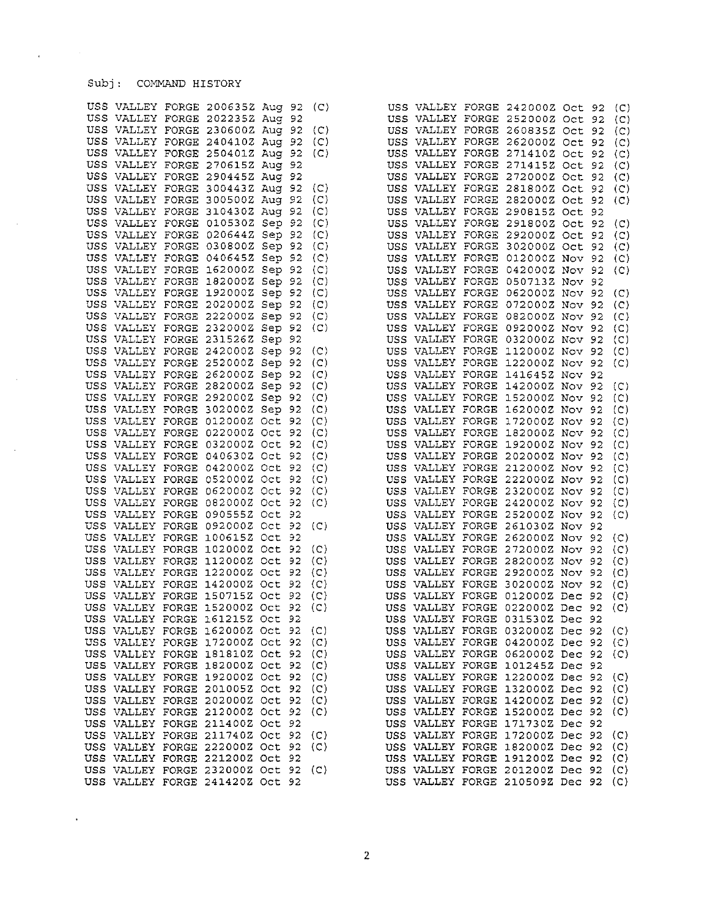## Subj: COMMAND HISTORY

 $\overline{\phantom{a}}$ 

 $\sim$ 

 $\sim$ 

 $\sim$ 

 $\ddot{\phantom{0}}$ 

|  | USS VALLEY FORGE 200635Z Aug 92 (C) |      |                     |                                                                                                                                                |  | USS VALLEY FORGE 242000Z Oct 92                                            |  | $\left( \begin{array}{c} \mathsf{C} \end{array} \right)$ |
|--|-------------------------------------|------|---------------------|------------------------------------------------------------------------------------------------------------------------------------------------|--|----------------------------------------------------------------------------|--|----------------------------------------------------------|
|  | USS VALLEY FORGE 202235Z Aug 92     |      |                     |                                                                                                                                                |  | USS VALLEY FORGE 252000Z Oct 92                                            |  | (C)                                                      |
|  | USS VALLEY FORGE 230600Z Aug 92 (C) |      |                     |                                                                                                                                                |  | USS VALLEY FORGE 260835Z Oct 92                                            |  | (C)                                                      |
|  |                                     |      |                     |                                                                                                                                                |  | USS VALLEY FORGE 262000Z Oct 92                                            |  |                                                          |
|  | USS VALLEY FORGE 240410Z Aug 92 (C) |      |                     |                                                                                                                                                |  |                                                                            |  | (C)                                                      |
|  | USS VALLEY FORGE 250401Z Aug 92 (C) |      |                     |                                                                                                                                                |  | USS VALLEY FORGE 271410Z Oct 92                                            |  | (C)                                                      |
|  | USS VALLEY FORGE 270615Z Aug 92     |      |                     |                                                                                                                                                |  | USS VALLEY FORGE 271415Z Oct 92                                            |  | (C)                                                      |
|  | USS VALLEY FORGE 290445Z Aug 92     |      |                     |                                                                                                                                                |  | USS VALLEY FORGE 272000Z Oct 92                                            |  | (C)                                                      |
|  | USS VALLEY FORGE 300443Z Aug 92     |      | (C)                 |                                                                                                                                                |  | USS VALLEY FORGE 281800Z Oct 92                                            |  | (C)                                                      |
|  | USS VALLEY FORGE 300500Z Aug 92     |      | (C)                 |                                                                                                                                                |  | USS VALLEY FORGE 282000Z Oct 92                                            |  | (C)                                                      |
|  | USS VALLEY FORGE 310430Z Aug 92 (C) |      |                     |                                                                                                                                                |  | USS VALLEY FORGE 290815Z Oct 92                                            |  |                                                          |
|  | USS VALLEY FORGE 010530Z Sep 92     |      | (C)                 |                                                                                                                                                |  | USS VALLEY FORGE 291800Z Oct 92                                            |  | (C)                                                      |
|  |                                     |      |                     |                                                                                                                                                |  |                                                                            |  |                                                          |
|  | USS VALLEY FORGE 020644Z Sep 92     |      | (C)                 |                                                                                                                                                |  | USS VALLEY FORGE 292000Z Oct 92                                            |  | (C)                                                      |
|  | USS VALLEY FORGE 030800Z Sep 92 (C) |      |                     |                                                                                                                                                |  | USS VALLEY FORGE 302000Z Oct 92                                            |  | (C)                                                      |
|  | USS VALLEY FORGE 040645Z Sep 92     |      | (C)                 |                                                                                                                                                |  | USS VALLEY FORGE 012000Z Nov 92                                            |  | (C)                                                      |
|  | USS VALLEY FORGE 162000Z Sep 92     |      | (C)                 |                                                                                                                                                |  | USS VALLEY FORGE 042000Z Nov 92                                            |  | (C)                                                      |
|  | USS VALLEY FORGE 182000Z Sep 92 (C) |      |                     |                                                                                                                                                |  | USS VALLEY FORGE 050713Z Nov 92                                            |  |                                                          |
|  | USS VALLEY FORGE 192000Z Sep 92 (C) |      |                     |                                                                                                                                                |  | USS VALLEY FORGE 062000Z Nov 92                                            |  | (C)                                                      |
|  | USS VALLEY FORGE 202000Z Sep 92 (C) |      |                     |                                                                                                                                                |  | USS VALLEY FORGE 072000Z Nov 92                                            |  | (C)                                                      |
|  | USS VALLEY FORGE 222000Z Sep 92 (C) |      |                     |                                                                                                                                                |  | USS VALLEY FORGE 082000Z Nov 92                                            |  |                                                          |
|  |                                     |      |                     |                                                                                                                                                |  |                                                                            |  | (C)                                                      |
|  | USS VALLEY FORGE 232000Z Sep 92 (C) |      |                     |                                                                                                                                                |  | USS VALLEY FORGE 092000Z Nov 92                                            |  | (C)                                                      |
|  | USS VALLEY FORGE 231526Z Sep 92     |      |                     |                                                                                                                                                |  | USS VALLEY FORGE 032000Z Nov 92                                            |  | (C)                                                      |
|  | USS VALLEY FORGE 242000Z Sep 92 (C) |      |                     |                                                                                                                                                |  | USS VALLEY FORGE 112000Z Nov 92                                            |  | (C)                                                      |
|  | USS VALLEY FORGE 252000Z Sep 92 (C) |      |                     |                                                                                                                                                |  | USS VALLEY FORGE 122000Z Nov 92                                            |  | (C)                                                      |
|  | USS VALLEY FORGE 262000Z Sep 92     |      | (C)                 |                                                                                                                                                |  | USS VALLEY FORGE 141645Z Nov 92                                            |  |                                                          |
|  | USS VALLEY FORGE 282000Z Sep 92 (C) |      |                     |                                                                                                                                                |  | USS VALLEY FORGE 142000Z Nov 92                                            |  | (C)                                                      |
|  | USS VALLEY FORGE 292000Z Sep 92     |      | $\left( C\right)$   |                                                                                                                                                |  | USS VALLEY FORGE 152000Z Nov 92                                            |  | (C)                                                      |
|  | USS VALLEY FORGE 302000Z Sep 92     |      |                     |                                                                                                                                                |  | USS VALLEY FORGE 162000Z Nov 92                                            |  |                                                          |
|  |                                     |      | $\langle C \rangle$ |                                                                                                                                                |  |                                                                            |  | (C)                                                      |
|  | USS VALLEY FORGE 012000Z Oct 92 (C) |      |                     |                                                                                                                                                |  | USS VALLEY FORGE 172000Z Nov 92                                            |  | (C)                                                      |
|  | USS VALLEY FORGE 022000Z Oct 92 (C) |      |                     |                                                                                                                                                |  | USS VALLEY FORGE 182000Z Nov 92                                            |  | (C)                                                      |
|  | USS VALLEY FORGE 032000Z Oct 92     |      | (C)                 |                                                                                                                                                |  | USS VALLEY FORGE 192000Z Nov 92                                            |  | (C)                                                      |
|  | USS VALLEY FORGE 040630Z Oct 92     |      | (C)                 |                                                                                                                                                |  | USS VALLEY FORGE 202000Z Nov 92                                            |  | (C)                                                      |
|  | USS VALLEY FORGE 042000Z Oct 92     |      | (C)                 |                                                                                                                                                |  | USS VALLEY FORGE 212000Z Nov 92                                            |  | (C)                                                      |
|  | USS VALLEY FORGE 052000Z Oct 92     |      | (C)                 |                                                                                                                                                |  | USS VALLEY FORGE 222000Z Nov 92                                            |  | (C)                                                      |
|  | USS VALLEY FORGE 062000Z Oct 92     |      | (C)                 |                                                                                                                                                |  | USS VALLEY FORGE 232000Z Nov 92                                            |  | (C)                                                      |
|  | USS VALLEY FORGE 082000Z Oct 92     |      | (C)                 |                                                                                                                                                |  | USS VALLEY FORGE 242000Z Nov 92                                            |  |                                                          |
|  |                                     |      |                     |                                                                                                                                                |  |                                                                            |  | (C)                                                      |
|  | USS VALLEY FORGE 090555Z Oct 92     |      |                     |                                                                                                                                                |  | USS VALLEY FORGE 252000Z Nov 92                                            |  | (C)                                                      |
|  | USS VALLEY FORGE 092000Z Oct 92     |      | (C)                 |                                                                                                                                                |  | USS VALLEY FORGE 261030Z Nov 92                                            |  |                                                          |
|  | USS VALLEY FORGE 100615Z Oct        | - 92 |                     |                                                                                                                                                |  | USS VALLEY FORGE 262000Z Nov 92                                            |  | $\langle \text{C} \rangle$                               |
|  | USS VALLEY FORGE 102000Z Oct 92     |      | (C)                 |                                                                                                                                                |  | USS VALLEY FORGE 272000Z Nov 92                                            |  | (C)                                                      |
|  | USS VALLEY FORGE 112000Z Oct 92     |      | $\langle C \rangle$ |                                                                                                                                                |  | USS VALLEY FORGE 282000Z Nov 92                                            |  | (C)                                                      |
|  | USS VALLEY FORGE 122000Z Oct 92     |      | (C)                 |                                                                                                                                                |  | USS VALLEY FORGE 292000Z Nov 92                                            |  | (C)                                                      |
|  | USS VALLEY FORGE 142000Z Oct 92     |      | (C)                 |                                                                                                                                                |  | USS VALLEY FORGE 302000Z Nov 92                                            |  | $\langle C \rangle$                                      |
|  | USS VALLEY FORGE 150715Z Oct 92     |      | (C)                 |                                                                                                                                                |  | USS VALLEY FORGE 012000Z Dec 92                                            |  | (C)                                                      |
|  |                                     |      |                     |                                                                                                                                                |  |                                                                            |  |                                                          |
|  | USS VALLEY FORGE 152000Z Oct 92     |      | (C)                 |                                                                                                                                                |  | USS VALLEY FORGE 022000Z Dec 92                                            |  | (C)                                                      |
|  | USS VALLEY FORGE 161215Z Oct 92     |      |                     |                                                                                                                                                |  | USS VALLEY FORGE 031530Z Dec 92                                            |  |                                                          |
|  | USS VALLEY FORGE 162000Z Oct 92 (C) |      |                     |                                                                                                                                                |  | USS VALLEY FORGE 032000Z Dec 92 (C)                                        |  |                                                          |
|  | USS VALLEY FORGE 172000Z Oct 92 (C) |      |                     |                                                                                                                                                |  | USS VALLEY FORGE 042000Z Dec 92 (C)                                        |  |                                                          |
|  | USS VALLEY FORGE 181810Z Oct 92 (C) |      |                     |                                                                                                                                                |  | USS VALLEY FORGE 062000Z Dec 92 (C)                                        |  |                                                          |
|  | USS VALLEY FORGE 182000Z Oct 92 (C) |      |                     |                                                                                                                                                |  | USS VALLEY FORGE 1012452 Dec 92                                            |  |                                                          |
|  | USS VALLEY FORGE 192000Z Oct 92 (C) |      |                     |                                                                                                                                                |  | USS VALLEY FORGE 122000Z Dec 92 (C)                                        |  |                                                          |
|  | USS VALLEY FORGE 201005Z Oct 92 (C) |      |                     |                                                                                                                                                |  | USS VALLEY FORGE 132000Z Dec 92 (C)                                        |  |                                                          |
|  |                                     |      |                     |                                                                                                                                                |  |                                                                            |  |                                                          |
|  | USS VALLEY FORGE 202000Z Oct 92 (C) |      |                     |                                                                                                                                                |  | USS VALLEY FORGE 142000Z Dec 92 (C)                                        |  |                                                          |
|  | USS VALLEY FORGE 2120002 Oct 92 (C) |      |                     |                                                                                                                                                |  | USS VALLEY FORGE 152000Z Dec 92 (C)                                        |  |                                                          |
|  | USS VALLEY FORGE 211400Z Oct 92     |      |                     |                                                                                                                                                |  | USS VALLEY FORGE 171730Z Dec 92                                            |  |                                                          |
|  | USS VALLEY FORGE 211740Z Oct 92 (C) |      |                     |                                                                                                                                                |  | USS VALLEY FORGE 172000Z Dec 92 (C)                                        |  |                                                          |
|  | USS VALLEY FORGE 222000Z Oct 92 (C) |      |                     |                                                                                                                                                |  |                                                                            |  |                                                          |
|  | USS VALLEY FORGE 221200Z Oct 92     |      |                     |                                                                                                                                                |  | USS VALLEY FORGE 182000Z Dec 92 (C)<br>USS VALLEY FORGE 191200Z Dec 92 (C) |  |                                                          |
|  |                                     |      |                     |                                                                                                                                                |  |                                                                            |  |                                                          |
|  |                                     |      |                     | USS VALLEY FORGE 232000Z Oct 92 (C) USS VALLEY FORGE 201200Z Dec 92 (C)<br>USS VALLEY FORGE 241420Z Oct 92 USS VALLEY FORGE 210509Z Dec 92 (C) |  |                                                                            |  |                                                          |
|  |                                     |      |                     |                                                                                                                                                |  |                                                                            |  |                                                          |

|  | USS VALLEY FORGE 200635Z Aug 92     |  | (C) |                                                                         |  | USS VALLEY FORGE 242000Z Oct 92     |  | (C)                 |
|--|-------------------------------------|--|-----|-------------------------------------------------------------------------|--|-------------------------------------|--|---------------------|
|  | USS VALLEY FORGE 202235Z Aug 92     |  |     |                                                                         |  | USS VALLEY FORGE 252000Z Oct 92     |  | (C)                 |
|  | USS VALLEY FORGE 230600Z Aug 92 (C) |  |     |                                                                         |  | USS VALLEY FORGE 260835Z Oct 92     |  | (C)                 |
|  | USS VALLEY FORGE 240410Z Aug 92 (C) |  |     |                                                                         |  | USS VALLEY FORGE 262000Z Oct 92     |  | (C)                 |
|  | USS VALLEY FORGE 250401Z Aug 92     |  | (C) |                                                                         |  | USS VALLEY FORGE 271410Z Oct 92     |  | (C)                 |
|  | USS VALLEY FORGE 270615Z Aug 92     |  |     |                                                                         |  | USS VALLEY FORGE 271415Z Oct 92     |  | (C)                 |
|  | USS VALLEY FORGE 290445Z Aug 92     |  |     |                                                                         |  | USS VALLEY FORGE 272000Z Oct 92     |  | (C)                 |
|  | USS VALLEY FORGE 300443Z Aug 92     |  | (C) |                                                                         |  | USS VALLEY FORGE 281800Z Oct 92     |  |                     |
|  |                                     |  |     |                                                                         |  | USS VALLEY FORGE 282000Z Oct 92     |  | (C)                 |
|  | USS VALLEY FORGE 300500Z Aug 92     |  | (C) |                                                                         |  |                                     |  | (C)                 |
|  | USS VALLEY FORGE 310430Z Aug 92     |  | (C) |                                                                         |  | USS VALLEY FORGE 2908152 Oct 92     |  |                     |
|  | USS VALLEY FORGE 010530Z Sep 92     |  | (C) |                                                                         |  | USS VALLEY FORGE 291800Z Oct 92     |  | (C)                 |
|  | USS VALLEY FORGE 020644Z Sep 92     |  | (C) |                                                                         |  | USS VALLEY FORGE 292000Z Oct 92     |  | (C)                 |
|  | USS VALLEY FORGE 030800Z Sep 92     |  | (C) |                                                                         |  | USS VALLEY FORGE 302000Z Oct 92     |  | (C)                 |
|  | USS VALLEY FORGE 040645Z Sep 92     |  | (C) |                                                                         |  | USS VALLEY FORGE 012000Z Nov 92     |  | (C)                 |
|  | USS VALLEY FORGE 162000Z Sep 92     |  | (C) |                                                                         |  | USS VALLEY FORGE 042000Z Nov 92     |  | (C)                 |
|  | USS VALLEY FORGE 182000Z Sep 92     |  | (C) |                                                                         |  | USS VALLEY FORGE 050713Z Nov 92     |  |                     |
|  | USS VALLEY FORGE 192000Z Sep 92     |  | (C) |                                                                         |  | USS VALLEY FORGE 062000Z Nov 92     |  | (C)                 |
|  | USS VALLEY FORGE 202000Z Sep 92     |  | (C) |                                                                         |  | USS VALLEY FORGE 072000Z Nov 92     |  | (C)                 |
|  | USS VALLEY FORGE 222000Z Sep 92     |  | (C) |                                                                         |  | USS VALLEY FORGE 082000Z Nov 92     |  | (C)                 |
|  | USS VALLEY FORGE 232000Z Sep 92     |  | (C) |                                                                         |  | USS VALLEY FORGE 092000Z Nov 92     |  | (C)                 |
|  | USS VALLEY FORGE 231526Z Sep 92     |  |     |                                                                         |  | USS VALLEY FORGE 032000Z Nov 92     |  | (C)                 |
|  | USS VALLEY FORGE 242000Z Sep 92     |  | (C) |                                                                         |  | USS VALLEY FORGE 112000Z Nov 92     |  | (C)                 |
|  | USS VALLEY FORGE 252000Z Sep 92     |  | (C) |                                                                         |  | USS VALLEY FORGE 122000Z Nov 92     |  | (C)                 |
|  | USS VALLEY FORGE 262000Z Sep 92     |  | (C) |                                                                         |  | USS VALLEY FORGE 141645Z Nov 92     |  |                     |
|  | USS VALLEY FORGE 282000Z Sep 92     |  | (C) |                                                                         |  | USS VALLEY FORGE 142000Z Nov 92     |  | (C)                 |
|  |                                     |  |     |                                                                         |  | USS VALLEY FORGE 152000Z Nov 92     |  |                     |
|  | USS VALLEY FORGE 292000Z Sep 92     |  | (C) |                                                                         |  |                                     |  | (C)                 |
|  | USS VALLEY FORGE 302000Z Sep 92     |  | (C) |                                                                         |  | USS VALLEY FORGE 162000Z Nov 92     |  | (C)                 |
|  | USS VALLEY FORGE 012000Z Oct 92     |  | (C) |                                                                         |  | USS VALLEY FORGE 172000Z Nov 92     |  | (C)                 |
|  | USS VALLEY FORGE 022000Z Oct 92     |  | (C) |                                                                         |  | USS VALLEY FORGE 182000Z Nov 92     |  | (C)                 |
|  | USS VALLEY FORGE 032000Z Oct 92     |  | (C) |                                                                         |  | USS VALLEY FORGE 192000Z Nov 92     |  | (C)                 |
|  | USS VALLEY FORGE 040630Z Oct 92     |  | (C) |                                                                         |  | USS VALLEY FORGE 202000Z Nov 92     |  | (C)                 |
|  | USS VALLEY FORGE 042000Z Oct 92     |  | (C) |                                                                         |  | USS VALLEY FORGE 212000Z Nov 92     |  | (C)                 |
|  | USS VALLEY FORGE 052000Z Oct 92     |  | (C) |                                                                         |  | USS VALLEY FORGE 222000Z Nov 92     |  | (C)                 |
|  | USS VALLEY FORGE 062000Z Oct 92     |  | (C) |                                                                         |  | USS VALLEY FORGE 232000Z Nov 92     |  | (C)                 |
|  | USS VALLEY FORGE 082000Z Oct 92     |  | (C) |                                                                         |  | USS VALLEY FORGE 242000Z Nov 92     |  | (C)                 |
|  | USS VALLEY FORGE 090555Z Oct 92     |  |     |                                                                         |  | USS VALLEY FORGE 252000Z Nov 92     |  | (C)                 |
|  | USS VALLEY FORGE 092000Z Oct 92     |  | (C) |                                                                         |  | USS VALLEY FORGE 261030Z Nov 92     |  |                     |
|  | USS VALLEY FORGE 100615Z Oct 92     |  |     |                                                                         |  | USS VALLEY FORGE 262000Z Nov 92     |  | (C)                 |
|  | USS VALLEY FORGE 102000Z Oct 92     |  | (C) |                                                                         |  | USS VALLEY FORGE 272000Z Nov 92     |  | (C)                 |
|  | USS VALLEY FORGE 112000Z Oct 92     |  | (C) |                                                                         |  | USS VALLEY FORGE 282000Z Nov 92     |  | (C)                 |
|  | USS VALLEY FORGE 122000Z Oct 92     |  | (C) |                                                                         |  | USS VALLEY FORGE 292000Z Nov 92     |  | (C)                 |
|  | USS VALLEY FORGE 142000Z Oct 92     |  | (C) |                                                                         |  | USS VALLEY FORGE 302000Z Nov 92     |  | (C)                 |
|  | USS VALLEY FORGE 150715Z Oct 92     |  | (C) |                                                                         |  | USS VALLEY FORGE 012000Z Dec 92     |  | (C)                 |
|  | USS VALLEY FORGE 152000Z Oct 92     |  |     |                                                                         |  | USS VALLEY FORGE 022000Z Dec 92     |  |                     |
|  | USS VALLEY FORGE 161215Z Oct 92     |  | (C) |                                                                         |  |                                     |  | (C)                 |
|  |                                     |  |     |                                                                         |  | USS VALLEY FORGE 031530Z Dec 92     |  |                     |
|  | USS VALLEY FORGE 162000Z Oct 92 (C) |  |     |                                                                         |  | USS VALLEY FORGE 032000Z Dec 92     |  | (C)                 |
|  | USS VALLEY FORGE 172000Z Oct 92 (C) |  |     |                                                                         |  | USS VALLEY FORGE 042000Z Dec 92 (C) |  |                     |
|  | USS VALLEY FORGE 181810Z Oct 92 (C) |  |     |                                                                         |  | USS VALLEY FORGE 062000Z Dec 92     |  | (C)                 |
|  | USS VALLEY FORGE 182000Z Oct 92 (C) |  |     |                                                                         |  | USS VALLEY FORGE 1012452 Dec 92     |  |                     |
|  | USS VALLEY FORGE 192000Z Oct 92 (C) |  |     |                                                                         |  | USS VALLEY FORGE 122000Z Dec 92 (C) |  |                     |
|  | USS VALLEY FORGE 201005Z Oct 92 (C) |  |     |                                                                         |  | USS VALLEY FORGE 132000Z Dec 92 (C) |  |                     |
|  | USS VALLEY FORGE 202000Z Oct 92 (C) |  |     |                                                                         |  | USS VALLEY FORGE 142000Z Dec 92     |  | (C)                 |
|  | USS VALLEY FORGE 212000Z Oct 92 (C) |  |     |                                                                         |  | USS VALLEY FORGE 152000Z Dec 92     |  | $\langle C \rangle$ |
|  | USS VALLEY FORGE 211400Z Oct 92     |  |     |                                                                         |  | USS VALLEY FORGE 171730Z Dec 92     |  |                     |
|  | USS VALLEY FORGE 211740Z Oct 92 (C) |  |     |                                                                         |  | USS VALLEY FORGE 172000Z Dec 92 (C) |  |                     |
|  | USS VALLEY FORGE 222000Z Oct 92 (C) |  |     |                                                                         |  | USS VALLEY FORGE 182000Z Dec 92 (C) |  |                     |
|  | USS VALLEY FORGE 221200Z Oct 92     |  |     |                                                                         |  | USS VALLEY FORGE 191200Z Dec 92 (C) |  |                     |
|  |                                     |  |     | USS VALLEY FORGE 232000Z Oct 92 (C) USS VALLEY FORGE 201200Z Dec 92 (C) |  |                                     |  |                     |
|  | USS VALLEY FORGE 241420Z Oct 92     |  |     |                                                                         |  | USS VALLEY FORGE 210509Z Dec 92 (C) |  |                     |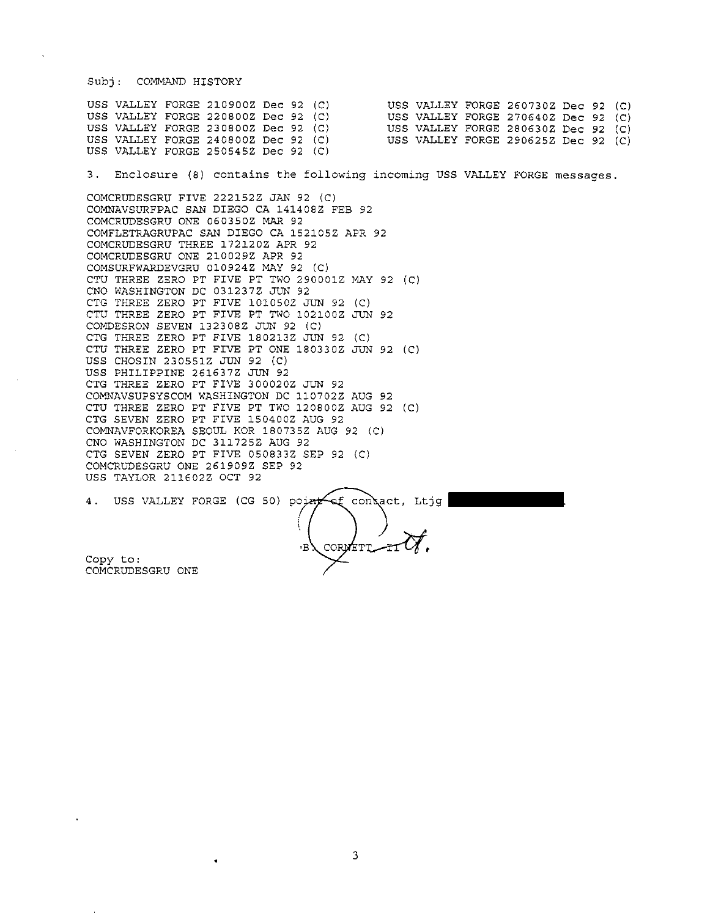## Subj: COMMAND HISTORY

USS VALLEY FORGE 210900Z Dec 92 (C) USS VALLEY FORGE 260730Z Dec 92 (C)<br>USS VALLEY FORGE 220800Z Dec 92 (C) USS VALLEY FORGE 270640Z Dec 92 (C) USS VALLEY FORGE 270640Z Dec 92 (C) USS VALLEY FORGE 280630Z Dec 92 (C) USS VALLEY FORGE 230800Z Dec 92 (C) USS VALLEY FORGE 240800Z Dec 92 (C) USS VALLEY FORGE 290625Z Dec 92 (C) USS VALLEY FORGE 250545Z Dec 92 (C)

3. **Enclosure** (8) **contains the following incoming** USS VALLEY FORGE messages.

COMCRUDESGRU FIVE 222152Z JAN 92 (C) COMNAVSURFPAC SAN DIEGO CA 141408Z FEB 92 COMCRUDESGRU ONE 060350Z MAR 92 COMFLETRAGRUPAC SAN DIEGO CA 152105Z APR 92 COMCRUDESGRU THREE 172120Z APR 92 COMCRUDESGRU ONE 210029Z APR 92 COMSURFWARDEVGRU Ol0924Z MAY 92 (C) CTU THREE ZERO PT FIVE PT TWO 290001Z MAY 92 (C) CNO WASHINGTON DC 031237Z JUN 92 CTG THREE ZERO PT FIVE 1010502 JUN 92 IC) CTU THREE ZERO PT FIVE PT TWO 102100Z JUN 92 COMDESRON SEVEN 132308Z JUN 92 (C) CTG THREE ZERO PT FIVE 180213Z JUN 92 (C) CTU THREE ZERO PT FIVE PT ONE 180330Z JUN 92 (C) USS CHOSIN 230551Z JUN 92 (C) USS PHILIPPINE 261637Z JUN 92 CTG THREE ZERO PT FIVE 300020Z JUN 92 COMNAVSUPSYSCOM WASHINGTON DC 110702Z AUG 92 CTU THREE ZERO PT FIVE PT TWO 120800Z AUG 92 (C) CTG SEVEN ZERO PT FIVE 150400Z AUG 92 COMNAVFORKOREA SEOUL KOR 180735Z AUG 92 IC) CNO WASHINGTON DC 311725Z AUG 92 CTG SEVEN ZERO PT FIVE 050833Z SEP 92 (C) COMCRUDESGRU ONE 261909Z SEP 92 USS TAYLOR 211602Z OCT 92

4. USS VALLEY FORGE (CG 50) point of contact, Ltjg •B. CORMETT. Copy to: COMCRUDESGRU ONE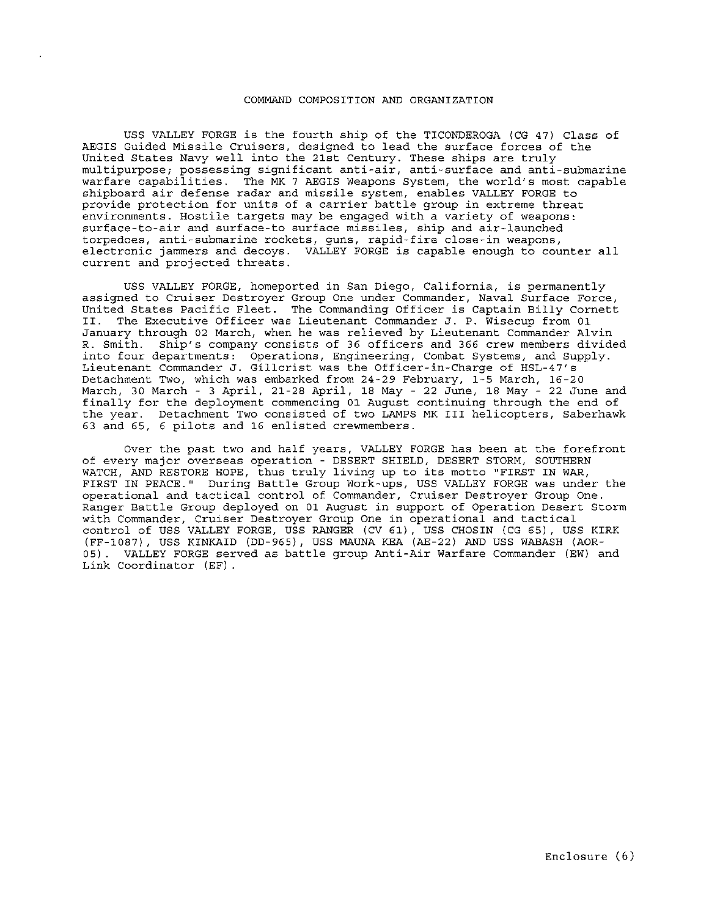## COMMAND COMPOSITION AND ORGANIZATION

USS VALLEY FORGE is the fourth ship of the TICONDEROGA {CG 47) Class of AEGIS Guided Missile Cruisers, designed to lead the surface forces of the United States Navy well into the 21st Century. These ships are truly multipurpose; possessing significant anti-air, anti-surface and anti-submarine warfare capabilities. The MK 7 AEGIS Weapons System, the world's most capable shipboard air defense radar and missile system, enables VALLEY FORGE to provide protection for units of a carrier battle group in extreme threat environments. Hostile targets may be engaged with a variety of weapons: surface-to-air and surface-to surface missiles, ship and air-launched torpedoes, anti-submarine rockets, guns, rapid-fire close-in weapons, electronic jarnmers and decoys. VALLEY FORGE is capable enough to counter all current and projected threats.

USS VALLEY FORGE, homeported in San Diego, California, is permanently assigned to Cruiser Destroyer Group One under Commander, Naval Surface Force, United States Pacific Fleet. The Commanding Officer is Captain Billy Cornett<br>II. The Executive Officer was Lieutenant Commander J. P. Wisecup from 01 The Executive Officer was Lieutenant Commander J. P. Wisecup from 01 January through 02 March, when he was relieved by Lieutenant Commander Alvin R. Smith. Ship's company consists of 36 officers and 366 crew members divided into four departments: Operations, Engineering, Combat Systems, and Supply. Lieutenant Commander J. Gillerist was the Officer-in-Charge of HSL-47's Detachment Two, which was embarked from 24-29 February, 1-5 March, 16-20 March, 30 March - 3 April, 21-28 April, 18 May - 22 June, 18 May - 22 June and finally for the deployment commencing 01 August continuing through the end of the year. Detachment Two consisted of two LAMPS MK III helicopters, Saberhawk 63 and 65, 6 pilots and 16 enlisted crewmembers.

Over the past two and half years, VALLEY FORGE has been at the forefront of every maJor overseas operation - DESERT SHIELD, DESERT STORM, SOUTHERN WATCH, AND RESTORE HOPE, thus truly living up to its motto "FIRST IN WAR, FIRST IN PEACE." During Battle Group Work-ups, USS VALLEY FORGE was under the operational and tactical control of Commander, Cruiser Destroyer Group One. Ranger Battle Group deployed on 01 August in support of Operation Desert Storm with Commander, Cruiser Destroyer Group One in operational and tactical control of USS VALLEY FORGE, USS RANGER {CV 61) , USS CHOSIN {CG 65) , USS KIRK {FF-1087), USS KINKAID {DD-965), USS MAUNA KEA {AE-22) AND USS WABASH {AOR-05) . VALLEY FORGE served as battle group Anti-Air Warfare Commander {EW) and Link Coordinator {EF) .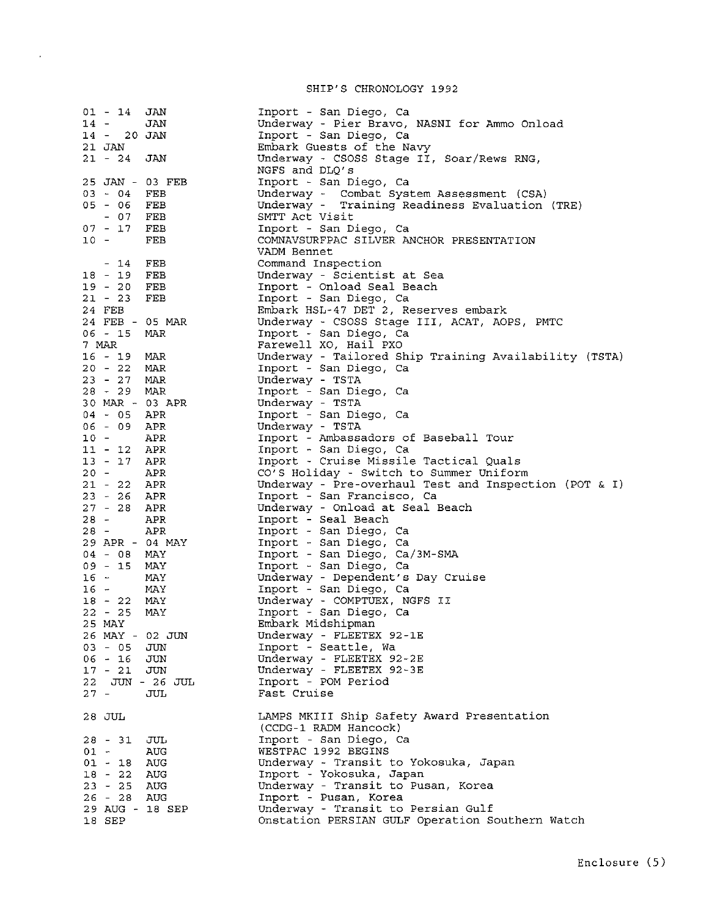SHIP'S CHRONOLOGY 1992

 $\bar{z}$ 

| $01 - 14$               | JAN                                                               | Inport - San Diego, Ca                                              |
|-------------------------|-------------------------------------------------------------------|---------------------------------------------------------------------|
| $14 -$<br>14 - 20 JAN   | JAN                                                               | Underway - Pier Bravo, NASNI for Ammo Onload                        |
|                         |                                                                   | Inport - San Diego, Ca                                              |
| 21 JAN<br>$21 - 24$ JAN |                                                                   | Embark Guests of the Navy                                           |
|                         |                                                                   | Underway - CSOSS Stage II, Soar/Rews RNG,<br>NGFS and DLQ's         |
| 25 JAN - 03 FEB         |                                                                   | Inport - San Diego, Ca                                              |
| 03 - 04 FEB             |                                                                   | Underway - Combat System Assessment (CSA)                           |
| 05 - 06 FEB             |                                                                   | Underway - Training Readiness Evaluation (TRE)                      |
| $-07$ FEB               |                                                                   | SMTT Act Visit                                                      |
| 07 - 17 FEB             |                                                                   | Inport - San Diego, Ca                                              |
| $10 -$                  | FEB                                                               | COMNAVSURFPAC SILVER ANCHOR PRESENTATION<br>VADM Bennet             |
| - 14                    | FEB                                                               | Command Inspection                                                  |
| $18 - 19$               | $\rm FEB$                                                         | Underway - Scientist at Sea                                         |
| 19 - 20                 | FEB                                                               | Inport - Onload Seal Beach                                          |
| $21 - 23$               | FEB                                                               | Inport - San Diego, Ca                                              |
| 24 FEB                  |                                                                   | Embark HSL-47 DET 2, Reserves embark                                |
|                         | 24 FEB - 05 MAR                                                   | Underway - CSOSS Stage III, ACAT, AOPS, PMTC                        |
| $06 - 15$               | MAR                                                               | Inport - San Diego, Ca                                              |
| 7 MAR                   |                                                                   | Farewell XO, Hail PXO                                               |
| 16 - 19 MAR             |                                                                   | Underway - Tailored Ship Training Availability (TSTA)               |
| 20 - 22 MAR             |                                                                   | Inport - San Diego, Ca                                              |
| 23 - 27 MAR             |                                                                   | Underway - TSTA                                                     |
| 28 - 29 MAR             |                                                                   | Inport - San Diego, Ca                                              |
|                         | $30$ MAR - 03 APR                                                 | Underway - TSTA                                                     |
| 04 - 05 APR             |                                                                   | Inport - San Diego, Ca                                              |
| 06 - 09 APR             |                                                                   | Underway - TSTA                                                     |
| $10 -$                  |                                                                   | Inport - Ambassadors of Baseball Tour                               |
|                         |                                                                   | Inport - San Diego, Ca                                              |
|                         |                                                                   | Inport - Cruise Missile Tactical Quals                              |
|                         | 10 - APR<br>11 - 12 APR<br>13 - 17 APR<br>20 - APR<br>21 - 22 APR | CO'S Holiday - Switch to Summer Uniform                             |
| 21 - 22 APR             |                                                                   | Underway - Pre-overhaul Test and Inspection (POT & I)               |
|                         | $23 - 26$ APR                                                     | Inport - San Francisco, Ca                                          |
| $27 - 28$ APR           |                                                                   | Underway - Onload at Seal Beach                                     |
| $28 -$                  | APR                                                               | Inport - Seal Beach                                                 |
| 28 - APR                |                                                                   | Inport - San Diego, Ca                                              |
|                         | 29 APR - 04 MAY                                                   | Inport - San Diego, Ca                                              |
| 04 - 08 MAY             |                                                                   | Inport - San Diego, Ca/3M-SMA                                       |
| 09 - 15 MAY             |                                                                   | Inport - San Diego, Ca                                              |
| $16 -$                  | MAY                                                               | Underway - Dependent's Day Cruise                                   |
| $16 -$                  | MAY                                                               | Inport - San Diego, Ca                                              |
| 18 - 22 MAY             |                                                                   | Underway - COMPTUEX, NGFS II                                        |
| $22 - 25$               | MAY                                                               | Inport - San Diego, Ca                                              |
| 25 MAY                  |                                                                   | Embark Midshipman                                                   |
| 26 MAY - 02 JUN         |                                                                   | Underway - FLEETEX 92-1E                                            |
| 03 - 05 JUN             |                                                                   | Inport - Seattle, Wa                                                |
| 06 - 16 JUN             |                                                                   | Underway - FLEETEX 92-2E                                            |
| $17 - 21$ JUN           |                                                                   | Underway - FLEETEX 92-3E                                            |
|                         | 22 JUN - 26 JUL                                                   | Inport - POM Period                                                 |
| $27 -$                  | JUL                                                               | Fast Cruise                                                         |
| 28 JUL                  |                                                                   | LAMPS MKIII Ship Safety Award Presentation<br>(CCDG-1 RADM Hancock) |
| 28 - 31 JUL             |                                                                   | Inport - San Diego, Ca                                              |
| $01 -$                  | AUG                                                               | WESTPAC 1992 BEGINS                                                 |
| $01 - 18$ AUG           |                                                                   | Underway - Transit to Yokosuka, Japan                               |
| 18 - 22 AUG             |                                                                   | Inport - Yokosuka, Japan                                            |
| $23 - 25$               | AUG                                                               | Underway - Transit to Pusan, Korea                                  |
| 26 - 28 AUG             |                                                                   | Inport - Pusan, Korea                                               |
|                         | 29 AUG - 18 SEP                                                   | Underway - Transit to Persian Gulf                                  |
| 18 SEP                  |                                                                   | Onstation PERSIAN GULF Operation Southern Watch                     |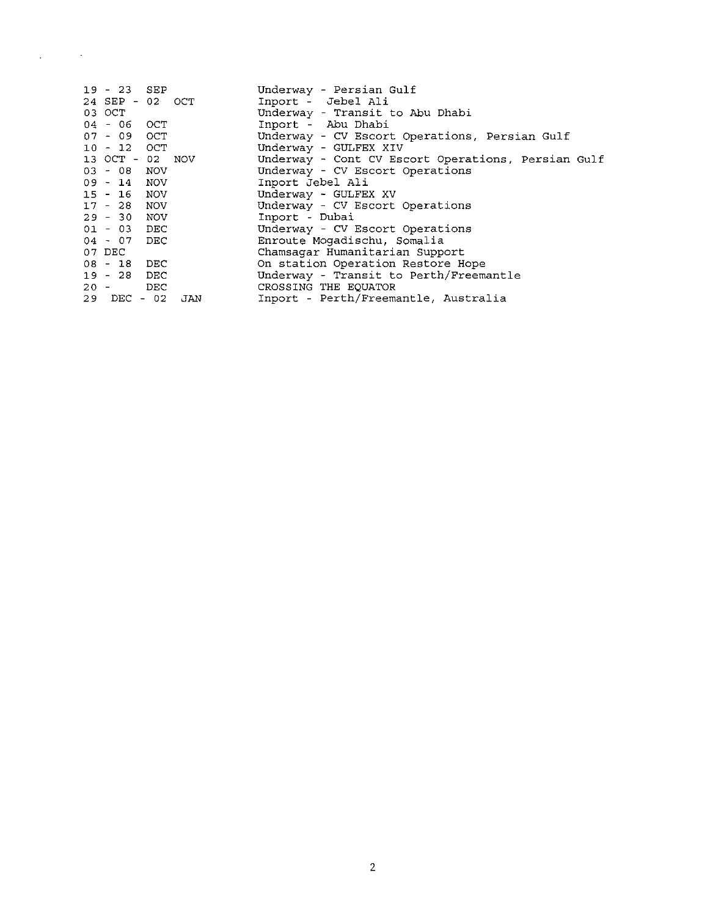| $19 - 23$ SEP     |  | Underway - Persian Gulf                            |
|-------------------|--|----------------------------------------------------|
| 24 SEP - 02 OCT   |  | Inport - Jebel Ali                                 |
| 03 OCT            |  | Underway - Transit to Abu Dhabi                    |
| 04 - 06 OCT       |  | Inport - Abu Dhabi                                 |
| $07 - 09$ OCT     |  | Underway - CV Escort Operations, Persian Gulf      |
| 10 - 12 OCT       |  | Underway - GULFEX XIV                              |
| 13 OCT - 02 NOV   |  | Underway - Cont CV Escort Operations, Persian Gulf |
| $03 - 08$ NOV     |  | Underway - CV Escort Operations                    |
| $09 - 14$ NOV     |  | Inport Jebel Ali                                   |
| 15 - 16 NOV       |  | Underway - GULFEX XV                               |
| $17 - 28$ NOV     |  | Underway - CV Escort Operations                    |
| $29 - 30$ NOV     |  | Inport - Dubai                                     |
| $01 - 03$ DEC     |  | Underway - CV Escort Operations                    |
| 04 - 07 DEC       |  | Enroute Mogadischu, Somalia                        |
| 07 DEC            |  | Chamsagar Humanitarian Support                     |
| 08 - 18 DEC       |  | On station Operation Restore Hope                  |
| $19 - 28$ DEC     |  | Underway - Transit to Perth/Freemantle             |
| $20 -$ DEC        |  | CROSSING THE EOUATOR                               |
| $29$ DEC - 02 JAN |  | Inport - Perth/Freemantle, Australia               |

 $\mathcal{L}^{\text{max}}_{\text{max}}$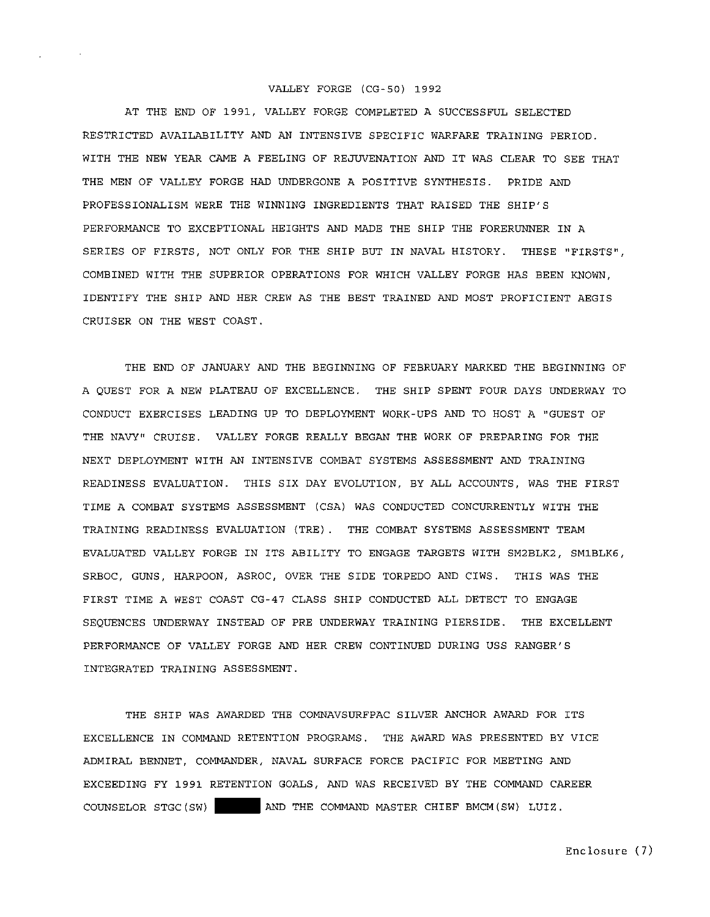## VALLEY FORGE (CG-50) 1992

AT THE END OF 1991, VALLEY FORGE COMPLETED A SUCCESSFUL SELECTED RESTRICTED AVAILABILITY AND AN INTENSIVE SPECIFIC WARFARE TRAINING PERIOD. WITH THE NEW YEAR CAME A FEELING OF REJUVENATION AND IT WAS CLEAR TO SEE THAT THE MEN OF VALLEY FORGE HAD UNDERGONE A POSITIVE SYNTHESIS. PRIDE AND PROFESSIONALISM WERE THE WINNING INGREDIENTS THAT RAISED THE SHIP'S PERFORMANCE TO EXCEPTIONAL HEIGHTS AND MADE THE SHIP THE FORERUNNER IN A SERIES OF FIRSTS, NOT ONLY FOR THE SHIP BUT IN NAVAL HISTORY. THESE "FIRSTS", COMBINED WITH THE SUPERIOR OPERATIONS FOR WHICH VALLEY FORGE HAS BEEN KNOWN, IDENTIFY THE SHIP AND HER CREW AS THE BEST TRAINED AND MOST PROFICIENT AEGIS CRUISER ON THE WEST COAST.

THE END OF JANUARY AND THE BEGINNING OF FEBRUARY MARKED THE BEGINNING OF A QUEST FOR A NEW PLATEAU OF EXCELLENCE. THE SHIP SPENT FOUR DAYS UNDERWAY TO CONDUCT EXERCISES LEADING UP TO DEPLOYMENT WORK-UPS AND TO HOST A "GUEST OF THE NAVY" CRUISE. VALLEY FORGE REALLY BEGAN THE WORK OF PREPARING FOR THE NEXT DEPLOYMENT WITH AN INTENSIVE COMBAT SYSTEMS ASSESSMENT AND TRAINING READINESS EVALUATION. THIS SIX DAY EVOLUTION, BY ALL ACCOUNTS, WAS THE FIRST TIME A COMBAT SYSTEMS ASSESSMENT (CSA) WAS CONDUCTED CONCURRENTLY WITH THE TRAINING READINESS EVALUATION (TRE) . THE COMBAT SYSTEMS ASSESSMENT TEAM EVALUATED VALLEY FORGE IN ITS ABILITY TO ENGAGE TARGETS WITH SM2BLK2, SM1BLK6, SRBOC, GUNS, HARPOON, ASROC, OVER THE SIDE TORPEDO AND CIWS. THIS WAS THE FIRST TIME A WEST COAST CG-47 CLASS SHIP CONDUCTED ALL DETECT TO ENGAGE SEQUENCES UNDERWAY INSTEAD OF PRE UNDERWAY TRAINING PIERSIDE. THE EXCELLENT PERFORMANCE OF VALLEY FORGE AND HER CREW CONTINUED DURING USS RANGER'S INTEGRATED TRAINING ASSESSMENT.

THE SHIP WAS AWARDED THE COMNAVSURFPAC SILVER ANCHOR AWARD FOR ITS EXCELLENCE IN COMMAND RETENTION PROGRAMS. THE AWARD WAS PRESENTED BY VICE ADMIRAL BENNET, COMMANDER, NAVAL SURFACE FORCE PACIFIC FOR MEETING AND EXCEEDING FY 1991 RETENTION GOALS, AND WAS RECEIVED BY THE COMMAND CAREER COUNSELOR STGC(SW) AND THE COMMAND MASTER CHIEF BMCM(SW) LUIZ.

Enclosure ( 7)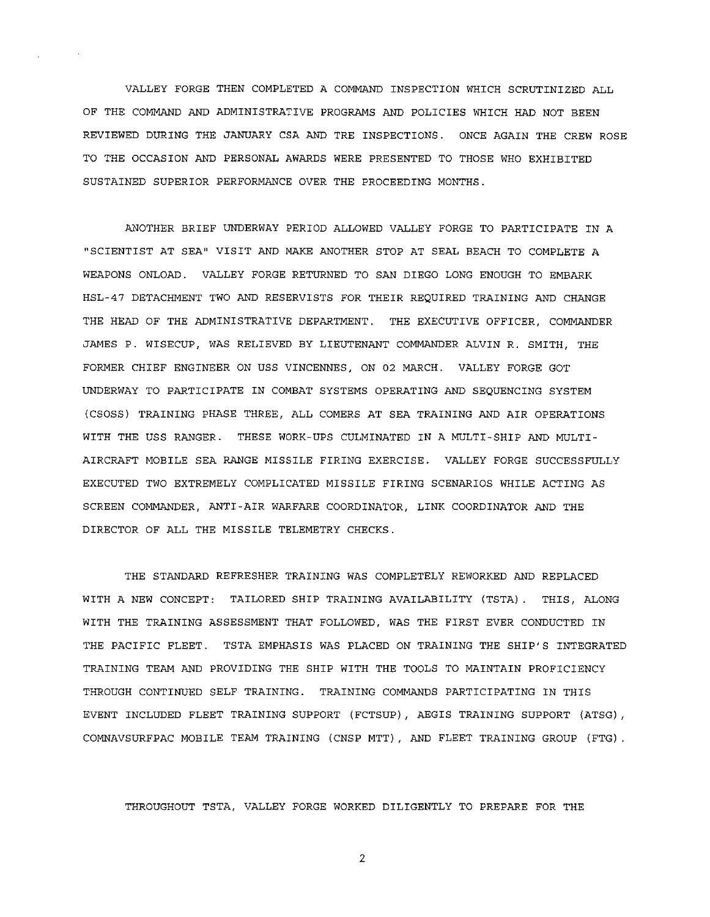VALLEY FORGE THEN COMPLETED A COMMAND INSPECTION WHICH SCRUTINIZED ALL OF THE COMMAND AND ADMINISTRATIVE PROGRAMS AND POLICIES WHICH HAD NOT BEEN REVIEWED DURING THE JANUARY CSA AND TRE INSPECTIONS. ONCE AGAIN THE CREW ROSE TO THE OCCASION AND PERSONAL AWARDS WERE PRESENTED TO THOSE WHO EXHIBITED SUSTAINED SUPERIOR PERFORMANCE OVER THE PROCEEDING MONTHS.

ANOTHER BRIEF UNDERWAY PERIOD ALLOWED VALLEY FORGE TO PARTICIPATE IN A "SCIENTIST AT SEA" VISIT AND MAKE ANOTHER STOP AT SEAL BEACH TO COMPLETE A WEAPONS ONLOAD. VALLEY FORGE RETURNED TO SAN DIEGO LONG ENOUGH TO EMBARK HSL-47 DETACHMENT TWO AND RESERVISTS FOR THEIR REQUIRED TRAINING AND CHANGE THE HEAD OF THE ADMINISTRATIVE DEPARTMENT. THE EXECUTIVE OFFICER, COMMANDER JAMES P. WISECUP, WAS RELIEVED BY LIEUTENANT COMMANDER ALVIN R. SMITH, THE FORMER CHIEF ENGINEER ON USS VINCENNES, ON 02 MARCH. VALLEY FORGE GOT UNDERWAY TO PARTICIPATE IN COMBAT SYSTEMS OPERATING AND SEQUENCING SYSTEM (CSOSS) TRAINING PHASE THREE, ALL COMERS AT SEA TRAINING AND AIR OPERATIONS WITH THE USS RANGER. THESE WORK-UPS CULMINATED IN A MULTI-SHIP AND MULTI-AIRCRAFT MOBILE SEA RANGE MISSILE FIRING EXERCISE. VALLEY FORGE SUCCESSFULLY EXECUTED TWO EXTREMELY COMPLICATED MISSILE FIRING SCENARIOS WHILE ACTING AS SCREEN COMMANDER, ANTI-AIR WARFARE COORDINATOR, LINK COORDINATOR AND THE DIRECTOR OF ALL THE MISSILE TELEMETRY CHECKS.

THE STANDARD REFRESHER TRAINING WAS COMPLETELY REWORKED AND REPLACED WITH A NEW CONCEPT: TAILORED SHIP TRAINING AVAILABILITY (TSTA). THIS, ALONG WITH THE TRAINING ASSESSMENT THAT FOLLOWED, WAS THE FIRST EVER CONDUCTED IN THE PACIFIC FLEET. TSTA EMPHASIS WAS PLACED ON TRAINING THE SHIP'S INTEGRATED TRAINING TEAM AND PROVIDING THE SHIP WITH THE TOOLS TO MAINTAIN PROFICIENCY THROUGH CONTINUED SELF TRAINING. TRAINING COMMANDS PARTICIPATING IN THIS EVENT INCLUDED FLEET TRAINING SUPPORT (FCTSUP), AEGIS TRAINING SUPPORT (ATSG), COMNAVSURFPAC MOBILE TEAM TRAINING (CNSP MTT) , AND FLEET TRAINING GROUP (FTG) .

THROUGHOUT TSTA, VALLEY FORGE WORKED DILIGENTLY TO PREPARE FOR THE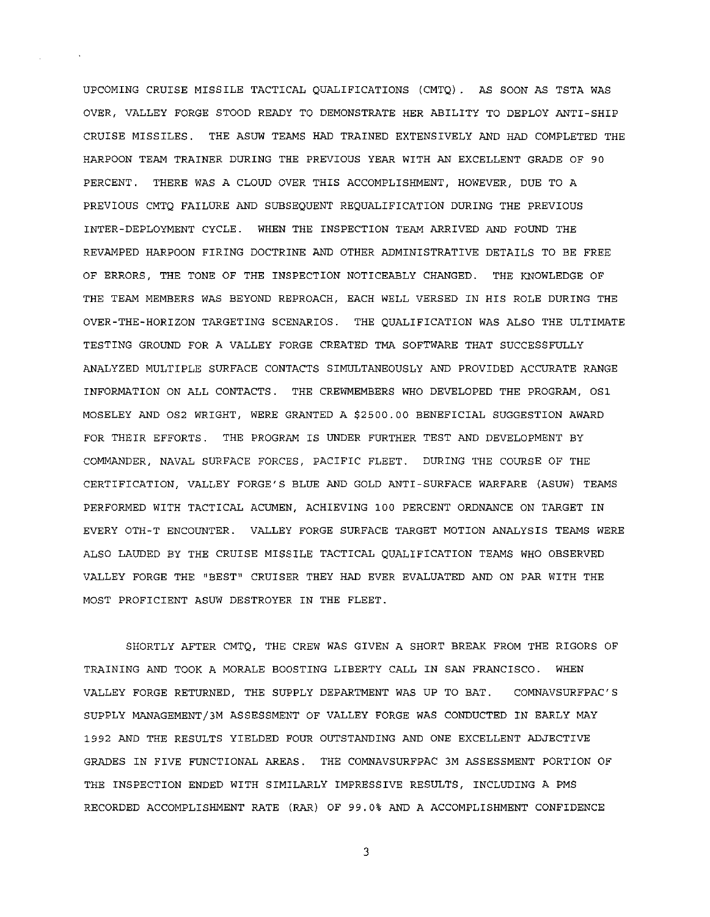UPCOMING CRUISE MISSILE TACTICAL QUALIFICATIONS (CMTQ) . AS SOON AS TSTA WAS OVER, VALLEY FORGE STOOD READY TO DEMONSTRATE HER ABILITY TO DEPLOY ANTI-SHIP CRUISE MISSILES. THE ASUW TEAMS HAD TRAINED EXTENSIVELY AND HAD COMPLETED THE HARPOON TEAM TRAINER DURING THE PREVIOUS YEAR WITH AN EXCELLENT GRADE OF 90 PERCENT. THERE WAS A CLOUD OVER THIS ACCOMPLISHMENT, HOWEVER, DUE TO A PREVIOUS CMTQ FAILURE AND SUBSEQUENT REQUALIFICATION DURING THE PREVIOUS INTER-DEPLOYMENT CYCLE. WHEN THE INSPECTION TEAM ARRIVED AND FOUND THE REVAMPED HARPOON FIRING DOCTRINE AND OTHER ADMINISTRATIVE DETAILS TO BE FREE OF ERRORS, THE TONE OF THE INSPECTION NOTICEABLY CHANGED. THE KNOWLEDGE OF THE TEAM MEMBERS WAS BEYOND REPROACH, EACH WELL VERSED IN HIS ROLE DURING THE OVER-THE-HORIZON TARGETING SCENARIOS. THE QUALIFICATION WAS ALSO THE ULTIMATE TESTING GROUND FOR A VALLEY FORGE CREATED TMA SOFTWARE THAT SUCCESSFULLY ANALYZED MULTIPLE SURFACE CONTACTS SIMULTANEOUSLY AND PROVIDED ACCURATE RANGE INFORMATION ON ALL CONTACTS. THE CREWMEMBERS WHO DEVELOPED THE PROGRAM, OSl MOSELEY AND OS2 WRIGHT, WERE GRANTED A \$2500.00 BENEFICIAL SUGGESTION AWARD FOR THEIR EFFORTS. THE PROGRAM IS UNDER FURTHER TEST AND DEVELOPMENT BY COMMANDER, NAVAL SURFACE FORCES, PACIFIC FLEET. DURING THE COURSE OF THE CERTIFICATION, VALLEY FORGE'S BLUE AND GOLD ANTI-SURFACE WARFARE (ASUW) TEAMS PERFORMED WITH TACTICAL ACUMEN, ACHIEVING 100 PERCENT ORDNANCE ON TARGET IN EVERY OTH-T ENCOUNTER. VALLEY FORGE SURFACE TARGET MOTION ANALYSIS TEAMS WERE ALSO LAUDED BY THE CRUISE MISSILE TACTICAL QUALIFICATION TEAMS WHO OBSERVED VALLEY FORGE THE "BEST" CRUISER THEY HAD EVER EVALUATED AND ON PAR WITH THE MOST PROFICIENT ASUW DESTROYER IN THE FLEET.

SHORTLY AFTER CMTQ, THE CREW WAS GIVEN A SHORT BREAK FROM THE RIGORS OF TRAINING AND TOOK A MORALE BOOSTING LIBERTY CALL IN SAN FRANCISCO. WHEN VALLEY FORGE RETURNED, THE SUPPLY DEPARTMENT WAS UP TO BAT. COMNAVSURFPAC'S SUPPLY MANAGEMENT/3M ASSESSMENT OF VALLEY FORGE WAS CONDUCTED IN EARLY MAY 1992 AND THE RESULTS YIELDED FOUR OUTSTANDING AND ONE EXCELLENT ADJECTIVE GRADES IN FIVE FUNCTIONAL AREAS. THE COMNAVSURFPAC 3M ASSESSMENT PORTION OF THE INSPECTION ENDED WITH SIMILARLY IMPRESSIVE RESULTS, INCLUDING A PMS RECORDED ACCOMPLISHMENT RATE (RAR) OF 99.0% AND A ACCOMPLISHMENT CONFIDENCE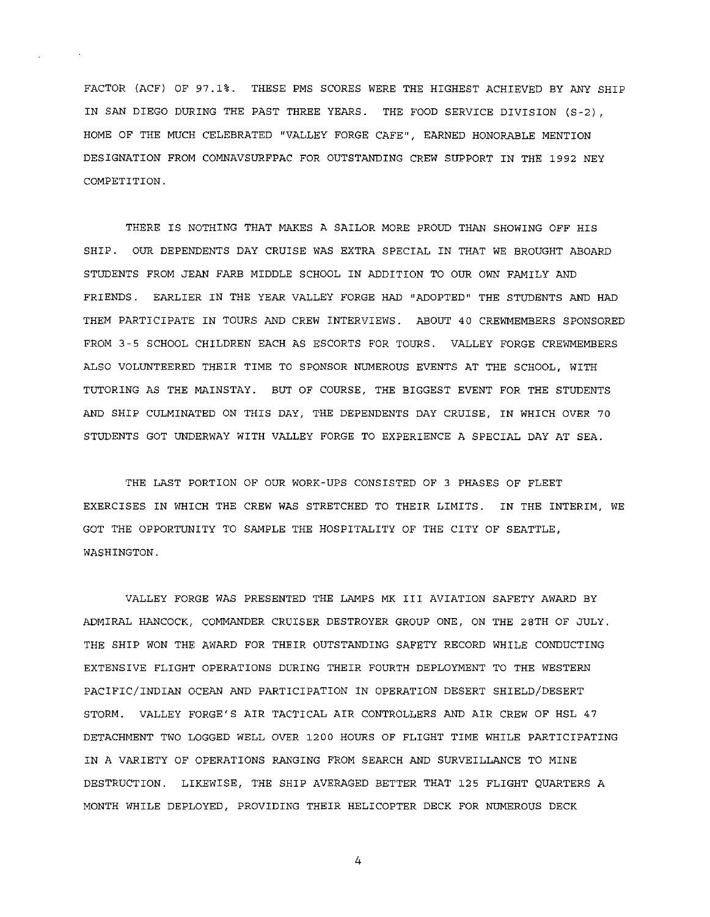FACTOR (ACF) OF 97.1%. THESE PMS SCORES WERE THE HIGHEST ACHIEVED BY ANY SHIP IN SAN DIEGO DURING THE PAST THREE YEARS. THE FOOD SERVICE DIVISION (S-2), HOME OF THE MUCH CELEBRATED "VALLEY FORGE CAFE", EARNED HONORABLE MENTION DESIGNATION FROM COMNAVSURFPAC FOR OUTSTANDING CREW SUPPORT IN THE 1992 NEY COMPETITION.

THERE IS NOTHING THAT MAKES A SAILOR MORE PROUD THAN SHOWING OFF HIS SHIP. OUR DEPENDENTS DAY CRUISE WAS EXTRA SPECIAL IN THAT WE BROUGHT ABOARD STUDENTS FROM JEAN FARB MIDDLE SCHOOL IN ADDITION TO OUR OWN FAMILY AND FRIENDS. EARLIER IN THE YEAR VALLEY FORGE HAD "ADOPTED" THE STUDENTS AND HAD THEM PARTICIPATE IN TOURS AND CREW INTERVIEWS. ABOUT 40 CREWMEMBERS SPONSORED FROM 3-5 SCHOOL CHILDREN EACH AS ESCORTS FOR TOURS. VALLEY FORGE CREWMEMBERS ALSO VOLUNTEERED THEIR TIME TO SPONSOR NUMEROUS EVENTS AT THE SCHOOL, WITH TUTORING AS THE MAINSTAY. BUT OF COURSE, THE BIGGEST EVENT FOR THE STUDENTS AND SHIP CULMINATED ON THIS DAY, THE DEPENDENTS DAY CRUISE, IN WHICH OVER 70 STUDENTS GOT UNDERWAY WITH VALLEY FORGE TO EXPERIENCE A SPECIAL DAY AT SEA.

THE LAST PORTION OF OUR WORK-UPS CONSISTED OF 3 PHASES OF FLEET EXERCISES IN WHICH THE CREW WAS STRETCHED TO THEIR LIMITS. IN THE INTERIM, WE GOT THE OPPORTUNITY TO SAMPLE THE HOSPITALITY OF THE CITY OF SEATTLE, WASHINGTON.

VALLEY FORGE WAS PRESENTED THE LAMPS MK III AVIATION SAFETY AWARD BY ADMIRAL HANCOCK, COMMANDER CRUISER DESTROYER GROUP ONE, ON THE 28TH OF JULY. THE SHIP WON THE AWARD FOR THEIR OUTSTANDING SAFETY RECORD WHILE CONDUCTING EXTENSIVE FLIGHT OPERATIONS DURING THEIR FOURTH DEPLOYMENT TO THE WESTERN PACIFIC/INDIAN OCEAN AND PARTICIPATION IN OPERATION DESERT SHIELD/DESERT STORM. VALLEY FORGE'S AIR TACTICAL AIR CONTROLLERS AND AIR CREW OF HSL 47 DETACHMENT TWO LOGGED WELL OVER 1200 HOURS OF FLIGHT TIME WHILE PARTICIPATING IN A VARIETY OF OPERATIONS RANGING FROM SEARCH AND SURVEILLANCE TO MINE DESTRUCTION. LIKEWISE, THE SHIP AVERAGED BETTER THAT 125 FLIGHT QUARTERS A MONTH WHILE DEPLOYED, PROVIDING THEIR HELICOPTER DECK FOR NUMEROUS DECK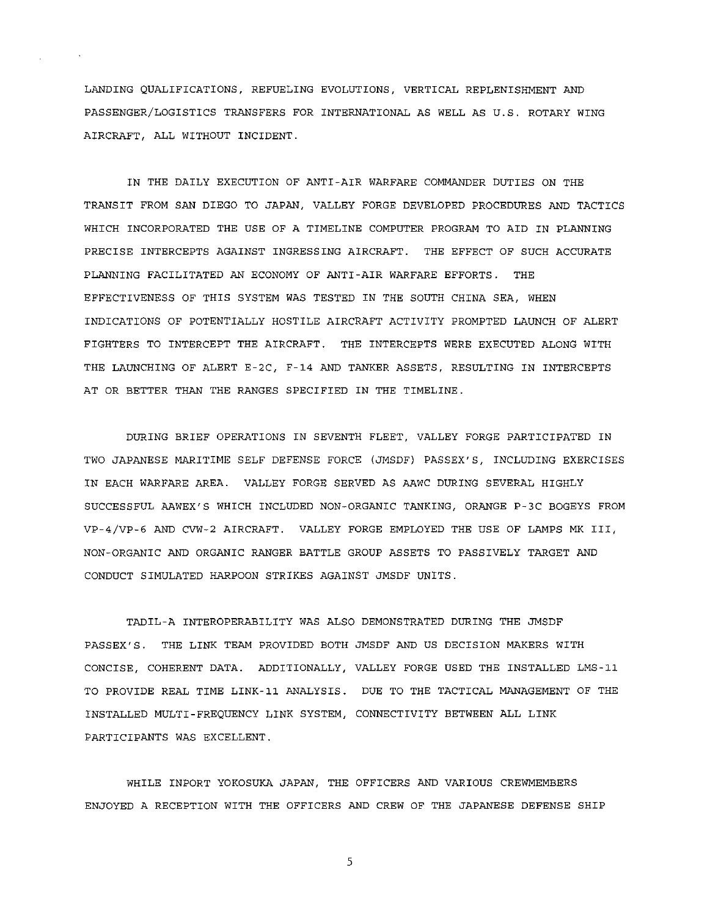LANDING QUALIFICATIONS, REFUELING EVOLUTIONS, VERTICAL REPLENISHMENT AND PASSENGER/LOGISTICS TRANSFERS FOR INTERNATIONAL AS WELL AS U.S. ROTARY WING AIRCRAFT, ALL WITHOUT INCIDENT.

IN THE DAILY EXECUTION OF ANTI-AIR WARFARE COMMANDER DUTIES ON THE TRANSIT FROM SAN DIEGO TO JAPAN, VALLEY FORGE DEVELOPED PROCEDURES AND TACTICS WHICH INCORPORATED THE USE OF A TIMELINE COMPUTER PROGRAM TO AID IN PLANNING PRECISE INTERCEPTS AGAINST INGRESSING AIRCRAFT. THE EFFECT OF SUCH ACCURATE PLANNING FACILITATED AN ECONOMY OF ANTI-AIR WARFARE EFFORTS. THE EFFECTIVENESS OF THIS SYSTEM WAS TESTED IN THE SOUTH CHINA SEA, WHEN INDICATIONS OF POTENTIALLY HOSTILE AIRCRAFT ACTIVITY PROMPTED LAUNCH OF ALERT FIGHTERS TO INTERCEPT THE AIRCRAFT. THE INTERCEPTS WERE EXECUTED ALONG WITH THE LAUNCHING OF ALERT E-2C, F-14 AND TANKER ASSETS, RESULTING IN INTERCEPTS AT OR BETTER THAN THE RANGES SPECIFIED IN THE TIMELINE.

DURING BRIEF OPERATIONS IN SEVENTH FLEET, VALLEY FORGE PARTICIPATED IN TWO JAPANESE MARITIME SELF DEFENSE FORCE (JMSDF) PASSEX'S, INCLUDING EXERCISES IN EACH WARFARE AREA. VALLEY FORGE SERVED AS AAWC DURING SEVERAL HIGHLY SUCCESSFUL AAWEX'S WHICH INCLUDED NON-ORGANIC TANKING, ORANGE P-3C BOGEYS FROM VP-4/VP-6 AND CVW-2 AIRCRAFT. VALLEY FORGE EMPLOYED THE USE OF LAMPS MK III, NON-ORGANIC AND ORGANIC RANGER BATTLE GROUP ASSETS TO PASSIVELY TARGET AND CONDUCT SIMULATED HARPOON STRIKES AGAINST JMSDF UNITS.

TADIL-A INTEROPERABILITY WAS ALSO DEMONSTRATED DURING THE JMSDF PASSEX'S. THE LINK TEAM PROVIDED BOTH JMSDF AND US DECISION MAKERS WITH CONCISE, COHERENT DATA. ADDITIONALLY, VALLEY FORGE USED THE INSTALLED LMS-11 TO PROVIDE REAL TIME LINK-11 ANALYSIS. DUE TO THE TACTICAL MANAGEMENT OF THE INSTALLED MULTI-FREQUENCY LINK SYSTEM, CONNECTIVITY BETWEEN ALL LINK PARTICIPANTS WAS EXCELLENT.

WHILE INPORT YOKOSUKA JAPAN, THE OFFICERS AND VARIOUS CREWMEMBERS ENJOYED A RECEPTION WITH THE OFFICERS AND CREW OF THE JAPANESE DEFENSE SHIP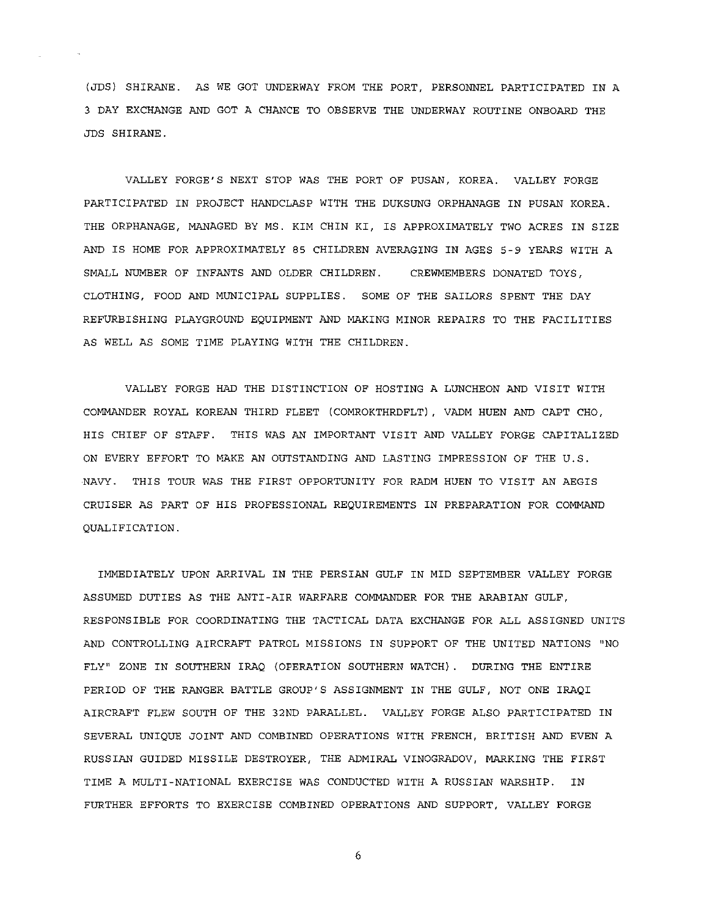(JDS} SHIRANE. AS WE GOT UNDERWAY FROM THE PORT, PERSONNEL PARTICIPATED IN A 3 DAY EXCHANGE AND GOT A CHANCE TO OBSERVE THE UNDERWAY ROUTINE ONBOARD THE JDS SHIRANE.

VALLEY FORGE'S NEXT STOP WAS THE PORT OF PUSAN, KOREA. VALLEY FORGE PARTICIPATED IN PROJECT HANDCLASP WITH THE DUKSUNG ORPHANAGE IN PUSAN KOREA. THE ORPHANAGE, MANAGED BY MS. KIM CHIN KI, IS APPROXIMATELY TWO ACRES IN SIZE AND IS HOME FOR APPROXIMATELY 85 CHILDREN AVERAGING IN AGES 5-9 YEARS WITH A SMALL NUMBER OF INFANTS AND OLDER CHILDREN. CREWMEMBERS DONATED TOYS, CLOTHING, FOOD AND MUNICIPAL SUPPLIES. SOME OF THE SAILORS SPENT THE DAY REFURBISHING PLAYGROUND EQUIPMENT AND MAKING MINOR REPAIRS TO THE FACILITIES AS WELL AS SOME TIME PLAYING WITH THE CHILDREN.

VALLEY FORGE HAD THE DISTINCTION OF HOSTING A LUNCHEON AND VISIT WITH COMMANDER ROYAL KOREAN THIRD FLEET (COMROKTHRDFLT}, VADM HUEN AND CAPT CHO, HIS CHIEF OF STAFF. THIS WAS AN IMPORTANT VISIT AND VALLEY FORGE CAPITALIZED ON EVERY EFFORT TO MAKE AN OUTSTANDING AND LASTING IMPRESSION OF THE U.S. NAVY. THIS TOUR WAS THE FIRST OPPORTUNITY FOR RADM HUEN TO VISIT AN AEGIS CRUISER AS PART OF HIS PROFESSIONAL REQUIREMENTS IN PREPARATION FOR COMMAND QUALIFICATION.

IMMEDIATELY UPON ARRIVAL IN THE PERSIAN GULF IN MID SEPTEMBER VALLEY FORGE ASSUMED DUTIES AS THE ANTI-AIR WARFARE COMMANDER FOR THE ARABIAN GULF, RESPONSIBLE FOR COORDINATING THE TACTICAL DATA EXCHANGE FOR ALL ASSIGNED UNITS AND CONTROLLING AIRCRAFT PATROL MISSIONS IN SUPPORT OF THE UNITED NATIONS "NO FLY" ZONE IN SOUTHERN IRAQ (OPERATION SOUTHERN WATCH) . DURING THE ENTIRE PERIOD OF THE RANGER BATTLE GROUP'S ASSIGNMENT IN THE GULF, NOT ONE IRAQI AIRCRAFT FLEW SOUTH OF THE 32ND PARALLEL. VALLEY FORGE ALSO PARTICIPATED IN SEVERAL UNIQUE JOINT AND COMBINED OPERATIONS WITH FRENCH, BRITISH AND EVEN A RUSSIAN GUIDED MISSILE DESTROYER, THE ADMIRAL VINOGRADOV, MARKING THE FIRST TIME A MULTI-NATIONAL EXERCISE WAS CONDUCTED WITH A RUSSIAN WARSHIP. IN FURTHER EFFORTS TO EXERCISE COMBINED OPERATIONS AND SUPPORT, VALLEY FORGE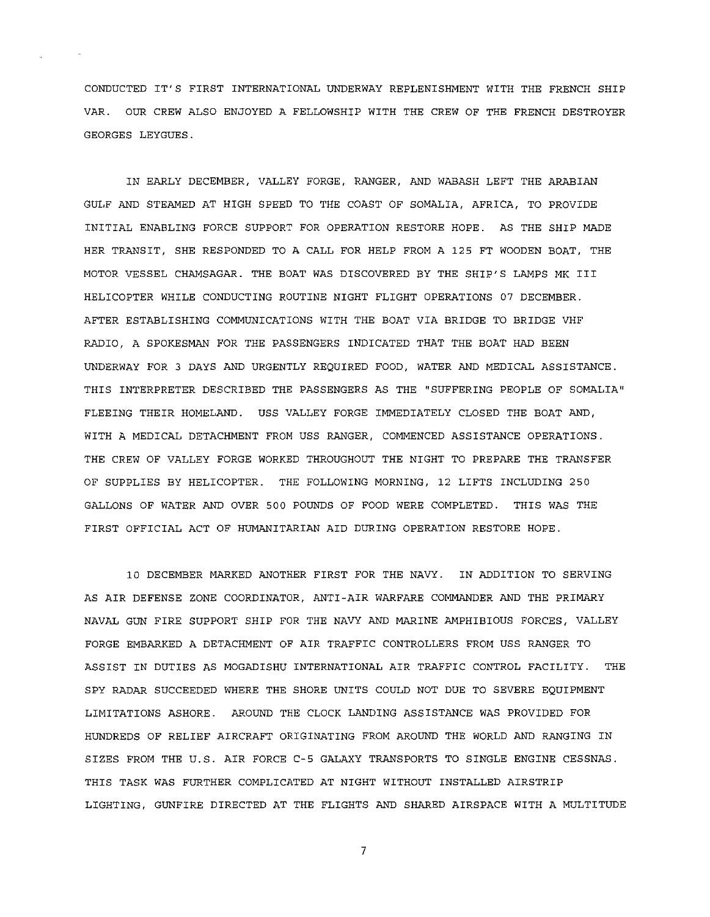CONDUCTED IT'S FIRST INTERNATIONAL UNDERWAY REPLENISHMENT WITH THE FRENCH SHIP VAR. OUR CREW ALSO ENJOYED A FELLOWSHIP WITH THE CREW OF THE FRENCH DESTROYER GEORGES LEYGUES.

IN EARLY DECEMBER, VALLEY FORGE, RANGER, AND WABASH LEFT THE ARABIAN GULF AND STEAMED AT HIGH SPEED TO THE COAST OF SOMALIA, AFRICA, TO PROVIDE INITIAL ENABLING FORCE SUPPORT FOR OPERATION RESTORE HOPE. AS THE SHIP MADE HER TRANSIT, SHE RESPONDED TO A CALL FOR HELP FROM A 125 FT WOODEN BOAT, THE MOTOR VESSEL CHAMSAGAR. THE BOAT WAS DISCOVERED BY THE SHIP'S LAMPS MK III HELICOPTER WHILE CONDUCTING ROUTINE NIGHT FLIGHT OPERATIONS 07 DECEMBER. AFTER ESTABLISHING COMMUNICATIONS WITH THE BOAT VIA BRIDGE TO BRIDGE VHF RADIO, A SPOKESMAN FOR THE PASSENGERS INDICATED THAT THE BOAT HAD BEEN UNDERWAY FOR 3 DAYS AND URGENTLY REQUIRED FOOD, WATER AND MEDICAL ASSISTANCE. THIS INTERPRETER DESCRIBED THE PASSENGERS AS THE "SUFFERING PEOPLE OF SOMALIA" FLEEING THEIR HOMELAND. USS VALLEY FORGE IMMEDIATELY CLOSED THE BOAT AND, WITH A MEDICAL DETACHMENT FROM USS RANGER, COMMENCED ASSISTANCE OPERATIONS. THE CREW OF VALLEY FORGE WORKED THROUGHOUT THE NIGHT TO PREPARE THE TRANSFER OF SUPPLIES BY HELICOPTER. THE FOLLOWING MORNING, 12 LIFTS INCLUDING 250 GALLONS OF WATER AND OVER 500 POUNDS OF FOOD WERE COMPLETED. THIS WAS THE FIRST OFFICIAL ACT OF HUMANITARIAN AID DURING OPERATION RESTORE HOPE.

10 DECEMBER MARKED ANOTHER FIRST FOR THE NAVY. IN ADDITION TO SERVING AS AIR DEFENSE ZONE COORDINATOR, ANTI-AIR WARFARE COMMANDER AND THE PRIMARY NAVAL GUN FIRE SUPPORT SHIP FOR THE NAVY AND MARINE AMPHIBIOUS FORCES, VALLEY FORGE EMBARKED A DETACHMENT OF AIR TRAFFIC CONTROLLERS FROM USS RANGER TO ASSIST IN DUTIES AS MOGADISHU INTERNATIONAL AIR TRAFFIC CONTROL FACILITY. THE SPY RADAR SUCCEEDED WHERE THE SHORE UNITS COULD NOT DUE TO SEVERE EQUIPMENT LIMITATIONS ASHORE. AROUND THE CLOCK LANDING ASSISTANCE WAS PROVIDED FOR HUNDREDS OF RELIEF AIRCRAFT ORIGINATING FROM AROUND THE WORLD AND RANGING IN SIZES FROM THE U.S. AIR FORCE C-5 GALAXY TRANSPORTS TO SINGLE ENGINE CESSNAS. THIS TASK WAS FURTHER COMPLICATED AT NIGHT WITHOUT INSTALLED AIRSTRIP LIGHTING, GUNFIRE DIRECTED AT THE FLIGHTS AND SHARED AIRSPACE WITH A MULTITUDE